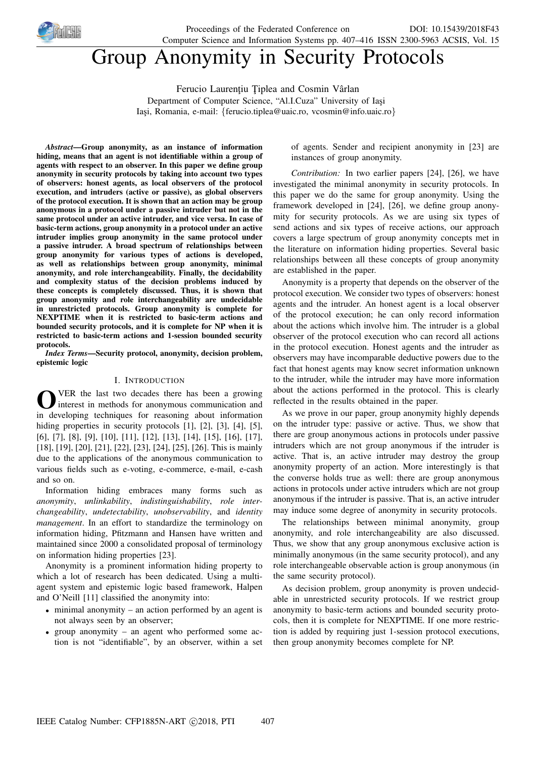

# Group Anonymity in Security Protocols

Ferucio Laurențiu Țiplea and Cosmin Vârlan Department of Computer Science, "Al.I.Cuza" University of Iasi Iași, Romania, e-mail: {ferucio.tiplea@uaic.ro, vcosmin@info.uaic.ro}

*Abstract*—Group anonymity, as an instance of information hiding, means that an agent is not identifiable within a group of agents with respect to an observer. In this paper we define group anonymity in security protocols by taking into account two types of observers: honest agents, as local observers of the protocol execution, and intruders (active or passive), as global observers of the protocol execution. It is shown that an action may be group anonymous in a protocol under a passive intruder but not in the same protocol under an active intruder, and vice versa. In case of basic-term actions, group anonymity in a protocol under an active intruder implies group anonymity in the same protocol under a passive intruder. A broad spectrum of relationships between group anonymity for various types of actions is developed, as well as relationships between group anonymity, minimal anonymity, and role interchangeability. Finally, the decidability and complexity status of the decision problems induced by these concepts is completely discussed. Thus, it is shown that group anonymity and role interchangeability are undecidable in unrestricted protocols. Group anonymity is complete for NEXPTIME when it is restricted to basic-term actions and bounded security protocols, and it is complete for NP when it is restricted to basic-term actions and 1-session bounded security protocols.

*Index Terms*—Security protocol, anonymity, decision problem, epistemic logic

#### I. INTRODUCTION

**O** VER the last two decades there has been a growing interest in methods for anonymous communication and developing techniques for reasoning about information VER the last two decades there has been a growing interest in methods for anonymous communication and hiding properties in security protocols [1], [2], [3], [4], [5], [6], [7], [8], [9], [10], [11], [12], [13], [14], [15], [16], [17], [18], [19], [20], [21], [22], [23], [24], [25], [26]. This is mainly due to the applications of the anonymous communication to various fields such as e-voting, e-commerce, e-mail, e-cash and so on.

Information hiding embraces many forms such as *anonymity*, *unlinkability*, *indistinguishability*, *role interchangeability*, *undetectability*, *unobservability*, and *identity management*. In an effort to standardize the terminology on information hiding, Pfitzmann and Hansen have written and maintained since 2000 a consolidated proposal of terminology on information hiding properties [23].

Anonymity is a prominent information hiding property to which a lot of research has been dedicated. Using a multiagent system and epistemic logic based framework, Halpen and O'Neill [11] classified the anonymity into:

- minimal anonymity an action performed by an agent is not always seen by an observer;
- group anonymity an agent who performed some action is not "identifiable", by an observer, within a set

of agents. Sender and recipient anonymity in [23] are instances of group anonymity.

*Contribution:* In two earlier papers [24], [26], we have investigated the minimal anonymity in security protocols. In this paper we do the same for group anonymity. Using the framework developed in [24], [26], we define group anonymity for security protocols. As we are using six types of send actions and six types of receive actions, our approach covers a large spectrum of group anonymity concepts met in the literature on information hiding properties. Several basic relationships between all these concepts of group anonymity are established in the paper.

Anonymity is a property that depends on the observer of the protocol execution. We consider two types of observers: honest agents and the intruder. An honest agent is a local observer of the protocol execution; he can only record information about the actions which involve him. The intruder is a global observer of the protocol execution who can record all actions in the protocol execution. Honest agents and the intruder as observers may have incomparable deductive powers due to the fact that honest agents may know secret information unknown to the intruder, while the intruder may have more information about the actions performed in the protocol. This is clearly reflected in the results obtained in the paper.

As we prove in our paper, group anonymity highly depends on the intruder type: passive or active. Thus, we show that there are group anonymous actions in protocols under passive intruders which are not group anonymous if the intruder is active. That is, an active intruder may destroy the group anonymity property of an action. More interestingly is that the converse holds true as well: there are group anonymous actions in protocols under active intruders which are not group anonymous if the intruder is passive. That is, an active intruder may induce some degree of anonymity in security protocols.

The relationships between minimal anonymity, group anonymity, and role interchangeability are also discussed. Thus, we show that any group anonymous exclusive action is minimally anonymous (in the same security protocol), and any role interchangeable observable action is group anonymous (in the same security protocol).

As decision problem, group anonymity is proven undecidable in unrestricted security protocols. If we restrict group anonymity to basic-term actions and bounded security protocols, then it is complete for NEXPTIME. If one more restriction is added by requiring just 1-session protocol executions, then group anonymity becomes complete for NP.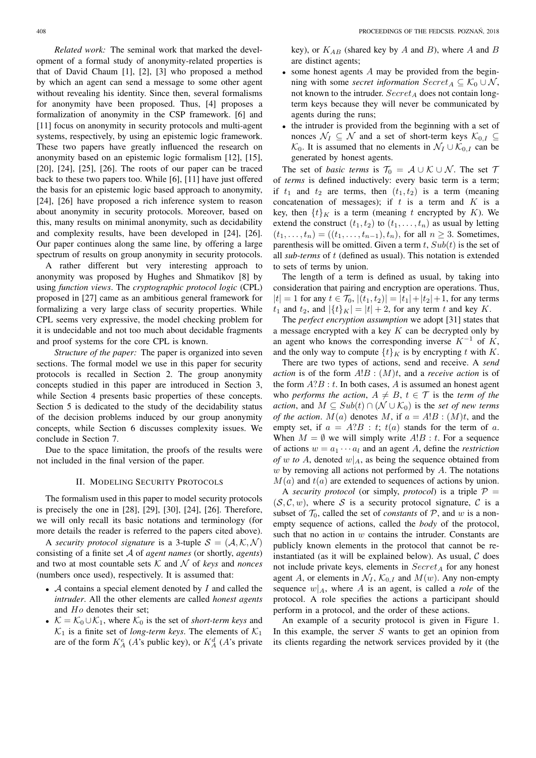*Related work:* The seminal work that marked the development of a formal study of anonymity-related properties is that of David Chaum [1], [2], [3] who proposed a method by which an agent can send a message to some other agent without revealing his identity. Since then, several formalisms for anonymity have been proposed. Thus, [4] proposes a formalization of anonymity in the CSP framework. [6] and [11] focus on anonymity in security protocols and multi-agent systems, respectively, by using an epistemic logic framework. These two papers have greatly influenced the research on anonymity based on an epistemic logic formalism [12], [15], [20], [24], [25], [26]. The roots of our paper can be traced back to these two papers too. While [6], [11] have just offered the basis for an epistemic logic based approach to anonymity, [24], [26] have proposed a rich inference system to reason about anonymity in security protocols. Moreover, based on this, many results on minimal anonymity, such as decidability and complexity results, have been developed in [24], [26]. Our paper continues along the same line, by offering a large spectrum of results on group anonymity in security protocols.

A rather different but very interesting approach to anonymity was proposed by Hughes and Shmatikov [8] by using *function views*. The *cryptographic protocol logic* (CPL) proposed in [27] came as an ambitious general framework for formalizing a very large class of security properties. While CPL seems very expressive, the model checking problem for it is undecidable and not too much about decidable fragments and proof systems for the core CPL is known.

*Structure of the paper:* The paper is organized into seven sections. The formal model we use in this paper for security protocols is recalled in Section 2. The group anonymity concepts studied in this paper are introduced in Section 3, while Section 4 presents basic properties of these concepts. Section 5 is dedicated to the study of the decidability status of the decision problems induced by our group anonymity concepts, while Section 6 discusses complexity issues. We conclude in Section 7.

Due to the space limitation, the proofs of the results were not included in the final version of the paper.

## II. MODELING SECURITY PROTOCOLS

The formalism used in this paper to model security protocols is precisely the one in [28], [29], [30], [24], [26]. Therefore, we will only recall its basic notations and terminology (for more details the reader is referred to the papers cited above).

A *security protocol signature* is a 3-tuple  $S = (A, K, N)$ consisting of a finite set A of *agent names* (or shortly, *agents*) and two at most countable sets  $K$  and  $N$  of *keys* and *nonces* (numbers once used), respectively. It is assumed that:

- $\mathcal A$  contains a special element denoted by  $I$  and called the *intruder*. All the other elements are called *honest agents* and Ho denotes their set;
- $K = \mathcal{K}_0 \cup \mathcal{K}_1$ , where  $\mathcal{K}_0$  is the set of *short-term keys* and  $\mathcal{K}_1$  is a finite set of *long-term keys*. The elements of  $\mathcal{K}_1$ are of the form  $K_A^e$  (A's public key), or  $K_A^d$  (A's private

key), or  $K_{AB}$  (shared key by A and B), where A and B are distinct agents;

- some honest agents  $A$  may be provided from the beginning with some *secret information*  $Secret_A \subseteq K_0 \cup N$ , not known to the intruder.  $Secret_A$  does not contain longterm keys because they will never be communicated by agents during the runs;
- the intruder is provided from the beginning with a set of nonces  $\mathcal{N}_I \subseteq \mathcal{N}$  and a set of short-term keys  $\mathcal{K}_{0,I} \subseteq$  $\mathcal{K}_0$ . It is assumed that no elements in  $\mathcal{N}_I \cup \mathcal{K}_{0,I}$  can be generated by honest agents.

The set of *basic terms* is  $\mathcal{T}_0 = \mathcal{A} \cup \mathcal{K} \cup \mathcal{N}$ . The set  $\mathcal{T}$ of *terms* is defined inductively: every basic term is a term; if  $t_1$  and  $t_2$  are terms, then  $(t_1, t_2)$  is a term (meaning concatenation of messages); if  $t$  is a term and  $K$  is a key, then  $\{t\}_K$  is a term (meaning t encrypted by K). We extend the construct  $(t_1, t_2)$  to  $(t_1, \ldots, t_n)$  as usual by letting  $(t_1, \ldots, t_n) = ((t_1, \ldots, t_{n-1}), t_n)$ , for all  $n > 3$ . Sometimes, parenthesis will be omitted. Given a term  $t$ ,  $Sub(t)$  is the set of all *sub-terms* of t (defined as usual). This notation is extended to sets of terms by union.

The length of a term is defined as usual, by taking into consideration that pairing and encryption are operations. Thus,  $|t| = 1$  for any  $t \in \mathcal{T}_0$ ,  $|(t_1, t_2)| = |t_1| + |t_2| + 1$ , for any terms  $t_1$  and  $t_2$ , and  $|\{t\}_K| = |t| + 2$ , for any term t and key K.

The *perfect encryption assumption* we adopt [31] states that a message encrypted with a key  $K$  can be decrypted only by an agent who knows the corresponding inverse  $K^{-1}$  of K, and the only way to compute  $\{t\}_K$  is by encrypting t with K.

There are two types of actions, send and receive. A *send action* is of the form  $A\&B : (M)t$ , and a *receive action* is of the form  $A?B: t$ . In both cases, A is assumed an honest agent who *performs the action*,  $A \neq B$ ,  $t \in \mathcal{T}$  is the *term of the action*, and  $M \subseteq Sub(t) \cap (N \cup K_0)$  is the *set of new terms of the action.*  $M(a)$  denotes M, if  $a = A'B : (M)t$ , and the empty set, if  $a = A$ ? $B : t$ ;  $t(a)$  stands for the term of a. When  $M = \emptyset$  we will simply write  $A \, B : t$ . For a sequence of actions  $w = a_1 \cdots a_l$  and an agent A, define the *restriction of* w *to* A, denoted  $w|_A$ , as being the sequence obtained from  $w$  by removing all actions not performed by  $A$ . The notations  $M(a)$  and  $t(a)$  are extended to sequences of actions by union.

A *security protocol* (or simply, *protocol*) is a triple  $P =$  $(S, \mathcal{C}, w)$ , where S is a security protocol signature, C is a subset of  $\mathcal{T}_0$ , called the set of *constants* of  $\mathcal{P}$ , and w is a nonempty sequence of actions, called the *body* of the protocol, such that no action in  $w$  contains the intruder. Constants are publicly known elements in the protocol that cannot be reinstantiated (as it will be explained below). As usual,  $C$  does not include private keys, elements in  $Secret_A$  for any honest agent A, or elements in  $\mathcal{N}_I$ ,  $\mathcal{K}_{0,I}$  and  $M(w)$ . Any non-empty sequence  $w|_A$ , where A is an agent, is called a *role* of the protocol. A role specifies the actions a participant should perform in a protocol, and the order of these actions.

An example of a security protocol is given in Figure 1. In this example, the server  $S$  wants to get an opinion from its clients regarding the network services provided by it (the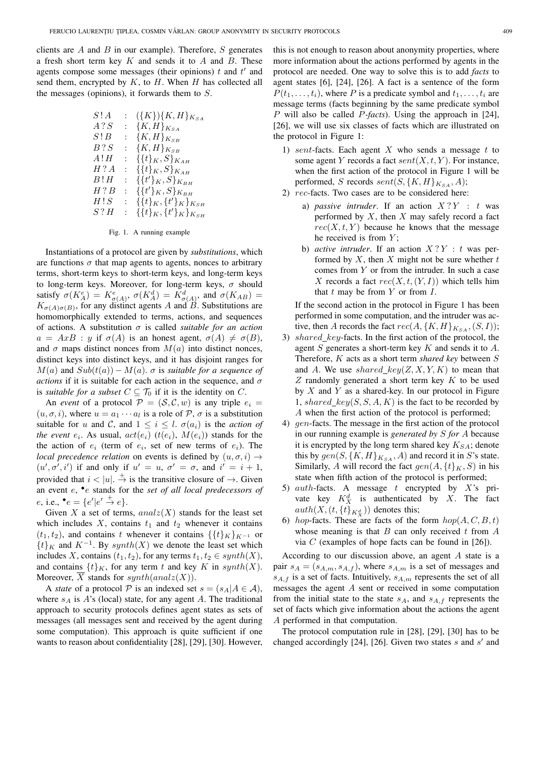clients are  $A$  and  $B$  in our example). Therefore,  $S$  generates a fresh short term key  $K$  and sends it to  $A$  and  $B$ . These agents compose some messages (their opinions)  $t$  and  $t'$  and send them, encrypted by  $K$ , to  $H$ . When  $H$  has collected all the messages (opinions), it forwards them to S.

| S!A              | $\cdot$ .            | $({K}){K,H}_{K_{SA}}$            |
|------------------|----------------------|----------------------------------|
| A ? S            | $\ddot{\phantom{0}}$ | ${K, H}_{K_{SA}}$                |
| S <sup>1</sup> B | $\ddot{\cdot}$       | ${K, H}_{K_{SB}}$                |
| $B$ ? $S$        | $\ddot{\phantom{0}}$ | ${K, H}_{K_{SB}}$                |
| A!H              | ÷                    | $\{\{t\}_K, S\}_{K_{AH}}$        |
| H ? A            | ÷                    | $\{\{t\}_K, S\}_{K_{AH}}$        |
| B!H              | ÷                    | $\{\{t'\}_K, S\}_{K_{BH}}$       |
| H?B              | ۰                    | $\{\{t'\}_K, S\}_{K_{BH}}$       |
| H!S              | ÷                    | $\{\{t\}_K, \{t'\}_K\}_{K_{SH}}$ |
| S?H              |                      | $\{\{t\}_K, \{t'\}_K\}_{K_{SH}}$ |
|                  |                      |                                  |

Fig. 1. A running example

Instantiations of a protocol are given by *substitutions*, which are functions  $\sigma$  that map agents to agents, nonces to arbitrary terms, short-term keys to short-term keys, and long-term keys to long-term keys. Moreover, for long-term keys,  $\sigma$  should satisfy  $\sigma(K_A^e) = K_{\sigma(A)}^e$ ,  $\sigma(K_A^d) = K_{\sigma(A)}^d$ , and  $\sigma(K_{AB}) =$  $K_{\sigma(A)\sigma(B)}$ , for any distinct agents A and B. Substitutions are homomorphically extended to terms, actions, and sequences of actions. A substitution σ is called *suitable for an action*  $a = AxB : y$  if  $\sigma(A)$  is an honest agent,  $\sigma(A) \neq \sigma(B)$ , and  $\sigma$  maps distinct nonces from  $M(a)$  into distinct nonces, distinct keys into distinct keys, and it has disjoint ranges for  $M(a)$  and  $Sub(t(a)) - M(a)$ ,  $\sigma$  is *suitable for a sequence of actions* if it is suitable for each action in the sequence, and  $\sigma$ is *suitable for a subset*  $C \subseteq \mathcal{T}_0$  if it is the identity on C.

An *event* of a protocol  $P = (S, C, w)$  is any triple  $e_i =$  $(u, \sigma, i)$ , where  $u = a_1 \cdots a_l$  is a role of  $P$ ,  $\sigma$  is a substitution suitable for u and C, and  $1 \leq i \leq l$ .  $\sigma(a_i)$  is the *action of the event*  $e_i$ . As usual,  $act(e_i)$   $(t(e_i), M(e_i))$  stands for the the action of  $e_i$  (term of  $e_i$ , set of new terms of  $e_i$ ). The *local precedence relation* on events is defined by  $(u, \sigma, i) \rightarrow$  $(u', \sigma', i')$  if and only if  $u' = u$ ,  $\sigma' = \sigma$ , and  $i' = i + 1$ , provided that  $i < |u|$ .  $\stackrel{+}{\rightarrow}$  is the transitive closure of  $\rightarrow$ . Given an event e, • e stands for the *set of all local predecessors of* e, i.e.,  $\bullet e = \{e' | e' \stackrel{+}{\rightarrow} e\}.$ 

Given X a set of terms,  $analz(X)$  stands for the least set which includes  $X$ , contains  $t_1$  and  $t_2$  whenever it contains  $(t_1, t_2)$ , and contains t whenever it contains  $\{\{t\}_K\}_{K^{-1}}$  or  $\{t\}_K$  and  $K^{-1}$ . By synth(X) we denote the least set which includes X, contains  $(t_1, t_2)$ , for any terms  $t_1, t_2 \in synth(X)$ , and contains  $\{t\}_K$ , for any term t and key K in synth(X). Moreover,  $\overline{X}$  stands for  $synth(analz(X))$ .

A *state* of a protocol P is an indexed set  $s = (s_A | A \in \mathcal{A})$ , where  $s_A$  is A's (local) state, for any agent A. The traditional approach to security protocols defines agent states as sets of messages (all messages sent and received by the agent during some computation). This approach is quite sufficient if one wants to reason about confidentiality [28], [29], [30]. However,

this is not enough to reason about anonymity properties, where more information about the actions performed by agents in the protocol are needed. One way to solve this is to add *facts* to agent states [6], [24], [26]. A fact is a sentence of the form  $P(t_1, \ldots, t_i)$ , where P is a predicate symbol and  $t_1, \ldots, t_i$  are message terms (facts beginning by the same predicate symbol P will also be called P*-facts*). Using the approach in [24], [26], we will use six classes of facts which are illustrated on the protocol in Figure 1:

- 1) sent-facts. Each agent  $X$  who sends a message  $t$  to some agent Y records a fact  $sent(X, t, Y)$ . For instance, when the first action of the protocol in Figure 1 will be performed, S records  $sent(S, {K, H}_{K_{SA}}, A);$
- 2) rec-facts. Two cases are to be considered here:
	- a) *passive intruder*. If an action  $X$ ?  $Y$  :  $t$  was performed by  $X$ , then  $X$  may safely record a fact  $rec(X, t, Y)$  because he knows that the message he received is from  $Y$ ;
	- b) *active intruder*. If an action  $X$  ?  $Y$  : t was performed by  $X$ , then  $X$  might not be sure whether  $t$ comes from  $Y$  or from the intruder. In such a case X records a fact  $rec(X, t, (Y, I))$  which tells him that  $t$  may be from  $Y$  or from  $I$ .

If the second action in the protocol in Figure 1 has been performed in some computation, and the intruder was active, then A records the fact  $rec(A, {K, H}_{K<sub>S-A</sub>}, (S, I));$ 

- 3) shared key-facts. In the first action of the protocol, the agent  $S$  generates a short-term key  $K$  and sends it to  $A$ . Therefore, K acts as a short term *shared key* between S and A. We use shared  $key(Z, X, Y, K)$  to mean that  $Z$  randomly generated a short term key  $K$  to be used by  $X$  and  $Y$  as a shared-key. In our protocol in Figure 1, shared\_key( $S, S, A, K$ ) is the fact to be recorded by A when the first action of the protocol is performed;
- 4) gen-facts. The message in the first action of the protocol in our running example is *generated by* S *for* A because it is encrypted by the long term shared key  $K_{SA}$ ; denote this by  $gen(S, {K, H}_{K<sub>SA</sub>}, A)$  and record it in S's state. Similarly, A will record the fact  $gen(A, {t}_{K}, S)$  in his state when fifth action of the protocol is performed;
- 5) auth-facts. A message t encrypted by  $X$ 's private key  $K_X^d$  is authenticated by X. The fact  $auth(X, (t, \{t\}_{K_X^d}))$  denotes this;
- 6) hop-facts. These are facts of the form  $hop(A, C, B, t)$ whose meaning is that  $B$  can only received  $t$  from  $A$ via  $C$  (examples of hope facts can be found in [26]).

According to our discussion above, an agent A state is a pair  $s_A = (s_{A,m}, s_{A,f})$ , where  $s_{A,m}$  is a set of messages and  $s_{A,f}$  is a set of facts. Intuitively,  $s_{A,m}$  represents the set of all messages the agent A sent or received in some computation from the initial state to the state  $s_A$ , and  $s_{A,f}$  represents the set of facts which give information about the actions the agent A performed in that computation.

The protocol computation rule in [28], [29], [30] has to be changed accordingly [24], [26]. Given two states  $s$  and  $s'$  and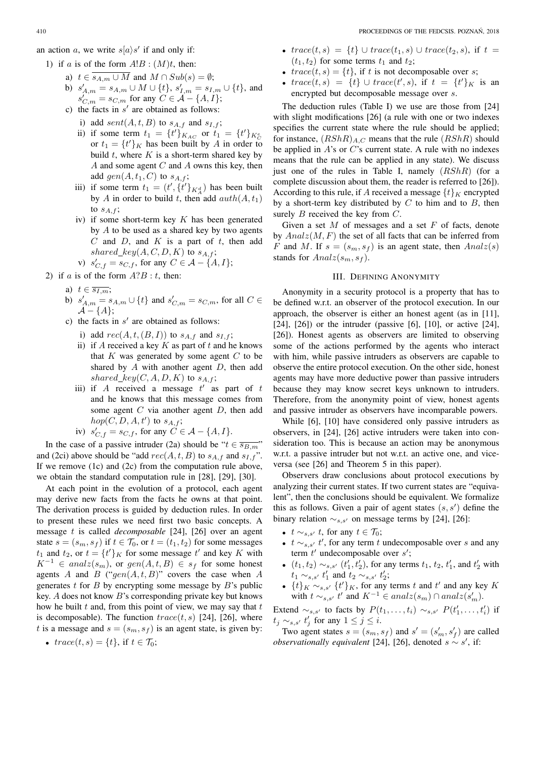- 1) if a is of the form  $A!B$  :  $(M)t$ , then:
	- a)  $t \in \overline{s_{A,m} \cup M}$  and  $M \cap Sub(s) = \emptyset$ ;
	- b)  $s'_{A,m} = s_{A,m} \cup M \cup \{t\}, s'_{I,m} = s_{I,m} \cup \{t\},$  and  $s'_{C,m} = s_{C,m}$  for any  $C \in \mathcal{A} - \{A, I\};$
	- c) the facts in  $s'$  are obtained as follows:
		- i) add  $sent(A, t, B)$  to  $s_{A,f}$  and  $s_{I,f}$ ;
		- ii) if some term  $t_1 = \{t'\}_{K_{AC}}$  or  $t_1 = \{t'\}_{K_C^e}$ or  $t_1 = \{t'\}_K$  has been built by A in order to build  $t$ , where  $K$  is a short-term shared key by  $A$  and some agent  $C$  and  $A$  owns this key, then add  $gen(A, t<sub>1</sub>, C)$  to  $s<sub>A,f</sub>$ ;
		- iii) if some term  $t_1 = (t', \{t'\}_{K_A^d})$  has been built by A in order to build t, then add  $auth(A, t_1)$ to  $s_{A,f}$ ;
		- iv) if some short-term key  $K$  has been generated by  $A$  to be used as a shared key by two agents  $C$  and  $D$ , and  $K$  is a part of  $t$ , then add shared\_key(A, C, D, K) to  $s_{A,f}$ ;
		- v)  $s'_{C,f} = s_{C,f}$ , for any  $C \in \mathcal{A} \{A, I\}$ ;
- 2) if a is of the form  $A?B : t$ , then:
	- a)  $t \in \overline{s_{I,m}}$ ;
	- b)  $s'_{A,m} = s_{A,m} \cup \{t\}$  and  $s'_{C,m} = s_{C,m}$ , for all  $C \in$  $\mathcal{A} - \{A\};$
	- c) the facts in  $s'$  are obtained as follows:
		- i) add  $rec(A, t, (B, I))$  to  $s_{A,f}$  and  $s_{I,f}$ ;
		- ii) if A received a key K as part of t and he knows that  $K$  was generated by some agent  $C$  to be shared by  $A$  with another agent  $D$ , then add shared\_key(C, A, D, K) to  $s_{A,f}$ ;
		- iii) if A received a message  $t'$  as part of  $t$ and he knows that this message comes from some agent  $C$  via another agent  $D$ , then add  $hop(C, D, A, t')$  to  $s_{A,f}$ ;
		- iv)  $s'_{C,f} = s_{C,f}$ , for any  $C \in \mathcal{A} \{A, I\}$ .

In the case of a passive intruder (2a) should be " $t \in \overline{s_{B,m}}$ " and (2ci) above should be "add  $rec(A, t, B)$  to  $s_{A,f}$  and  $s_{I,f}$ ". If we remove (1c) and (2c) from the computation rule above, we obtain the standard computation rule in [28], [29], [30].

At each point in the evolution of a protocol, each agent may derive new facts from the facts he owns at that point. The derivation process is guided by deduction rules. In order to present these rules we need first two basic concepts. A message t is called *decomposable* [24], [26] over an agent state  $s = (s_m, s_f)$  if  $t \in \mathcal{T}_0$ , or  $t = (t_1, t_2)$  for some messages  $t_1$  and  $t_2$ , or  $t = \{t'\}_K$  for some message  $t'$  and key K with  $K^{-1} \in \text{analz}(s_m)$ , or  $\text{gen}(A, t, B) \in s_f$  for some honest agents A and B (" $gen(A, t, B)$ " covers the case when A generates  $t$  for  $B$  by encrypting some message by  $B$ 's public key. A does not know B's corresponding private key but knows how he built  $t$  and, from this point of view, we may say that  $t$ is decomposable). The function  $trace(t, s)$  [24], [26], where t is a message and  $s = (s_m, s_f)$  is an agent state, is given by:

•  $trace(t, s) = \{t\}$ , if  $t \in \mathcal{T}_0$ ;

- trace(t, s) = {t} ∪ trace(t<sub>1</sub>, s) ∪ trace(t<sub>2</sub>, s), if t =  $(t_1, t_2)$  for some terms  $t_1$  and  $t_2$ ;
- $trace(t, s) = \{t\}$ , if t is not decomposable over s;
- $trace(t, s) = \{t\} \cup trace(t', s), \text{ if } t = \{t'\}_K \text{ is an }$ encrypted but decomposable message over s.

The deduction rules (Table I) we use are those from [24] with slight modifications [26] (a rule with one or two indexes specifies the current state where the rule should be applied; for instance,  $(RShR)_{A,C}$  means that the rule  $(RShR)$  should be applied in  $A$ 's or  $C$ 's current state. A rule with no indexes means that the rule can be applied in any state). We discuss just one of the rules in Table I, namely  $(RShR)$  (for a complete discussion about them, the reader is referred to [26]). According to this rule, if A received a message  $\{t\}_K$  encrypted by a short-term key distributed by  $C$  to him and to  $B$ , then surely  $B$  received the key from  $C$ .

Given a set  $M$  of messages and a set  $F$  of facts, denote by  $Analz(M, F)$  the set of all facts that can be inferred from F and M. If  $s = (s_m, s_f)$  is an agent state, then  $Analz(s)$ stands for  $Analz(s_m, s_f)$ .

# III. DEFINING ANONYMITY

Anonymity in a security protocol is a property that has to be defined w.r.t. an observer of the protocol execution. In our approach, the observer is either an honest agent (as in [11], [24], [26]) or the intruder (passive [6], [10], or active [24], [26]). Honest agents as observers are limited to observing some of the actions performed by the agents who interact with him, while passive intruders as observers are capable to observe the entire protocol execution. On the other side, honest agents may have more deductive power than passive intruders because they may know secret keys unknown to intruders. Therefore, from the anonymity point of view, honest agents and passive intruder as observers have incomparable powers.

While [6], [10] have considered only passive intruders as observers, in [24], [26] active intruders were taken into consideration too. This is because an action may be anonymous w.r.t. a passive intruder but not w.r.t. an active one, and viceversa (see [26] and Theorem 5 in this paper).

Observers draw conclusions about protocol executions by analyzing their current states. If two current states are "equivalent", then the conclusions should be equivalent. We formalize this as follows. Given a pair of agent states  $(s, s')$  define the binary relation  $\sim_{s,s'}$  on message terms by [24], [26]:

- $t \sim_{s,s'} t$ , for any  $t \in \mathcal{T}_0$ ;
- $t \sim_{s,s'} t'$ , for any term t undecomposable over s and any term  $t'$  undecomposable over  $s'$ ;
- $(t_1, t_2) \sim_{s, s'} (t'_1, t'_2)$ , for any terms  $t_1, t_2, t'_1$ , and  $t'_2$  with  $t_1 \sim_{s,s'} t'_1$  and  $t_2 \sim_{s,s'} t'_2$ ;
- $\{t\}_K \sim_{s,s'} \{t'\}_K$ , for any terms t and t' and any key K with  $t \sim_{s,s'} t'$  and  $K^{-1} \in analz(s_m) \cap analz(s'_m)$ .

Extend  $\sim_{s,s'}$  to facts by  $P(t_1,\ldots,t_i) \sim_{s,s'} P(t'_1,\ldots,t'_i)$  if  $t_j \sim_{s,s'} t'_j$  for any  $1 \leq j \leq i$ .

Two agent states  $s = (s_m, s_f)$  and  $s' = (s'_m, s'_f)$  are called *observationally equivalent* [24], [26], denoted  $s \sim s'$ , if: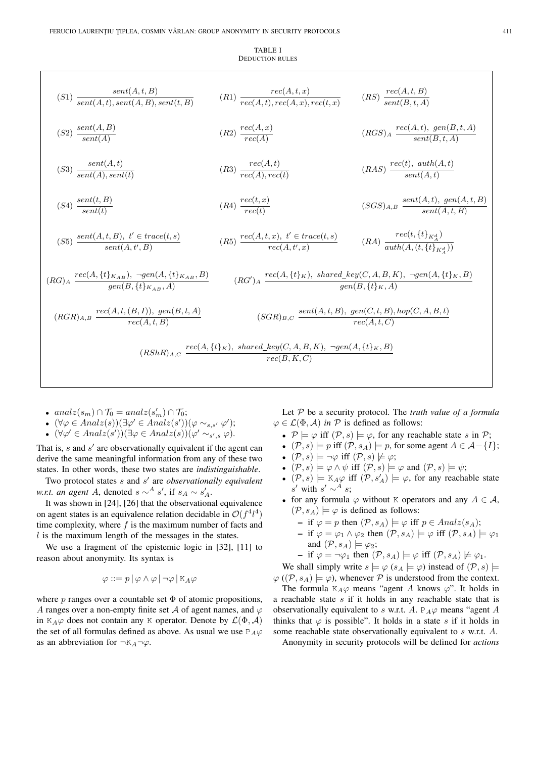| $(S1) \frac{sent(A, t, B)}{sent(A, t), sent(A, B), sent(t, B)}$                                     | $(R1) \frac{rec(A, t, x)}{rec(A, t). rec(A, x). rec(t, x)}$ $(RS) \frac{rec(A, t, B)}{sent(B + A)}$          |                                                                |  |  |  |
|-----------------------------------------------------------------------------------------------------|--------------------------------------------------------------------------------------------------------------|----------------------------------------------------------------|--|--|--|
| $(S2) \frac{sent(A, B)}{sent(A)}$                                                                   | $(R2) \frac{rec(A, x)}{rec(A)}$                                                                              | $(RGS)_{A} \frac{rec(A,t), gen(B,t,A)}{sent(B,t,A)}$           |  |  |  |
| $(S3) \frac{sent(A,t)}{sent(A), sent(t)}$                                                           | $(R3) \frac{rec(A,t)}{rec(A) rec(t)}$                                                                        | $(RAS) \frac{rec(t), \;auth(A, t)}{sent(A, t)}$                |  |  |  |
| $(S4) \frac{sent(t, B)}{sent(t)}$                                                                   | $(R4) \frac{rec(t, x)}{rec(t)}$                                                                              | $(SGS)_{A,B}$ $\frac{sent(A,t), gen(A,t,B)}{sent(A+B)}$        |  |  |  |
| $(S5) \frac{sent(A, t, B), t' \in trace(t, s)}{sent(A, t' - B)}$                                    | $(R5) \frac{rec(A, t, x), t' \in trace(t, s)}{rec(A + t' - x)}$                                              | $(RA) \frac{rec(t, \{t\}_{K_A^d})}{auth(A, (t, \{t\}_{K_d}))}$ |  |  |  |
| $(RG)_{A} \frac{rec(A, \{t\}_{K_{AB}}), \neg gen(A, \{t\}_{K_{AB}}, B)}{gen(B, \{t\}_{K_{AB}}, A)}$ | $(RG')_A \frac{rec(A, \{t\}_K), \; shared\_key(C, A, B, K), \; \neg gen(A, \{t\}_K, B)}{gen(B, \{t\}_K, A)}$ |                                                                |  |  |  |
| $(RGR)_{A,B} \ \frac{rec(A, t, (B, I)), gen(B, t, A)}{rec(A \ t \ B)}$                              | $(SGR)_{B,C}$ $\frac{sent(A, t, B), gen(C, t, B), hop(C, A, B, t)}{rec(A, t, C)}$                            |                                                                |  |  |  |
| $(RShR)_{A,C}\ \frac{rec(A,\{t\}_K),\ shared\_key(C,A,B,K),\ \ \neg gen(A,\{t\}_K,B)}{rec(B,K,C)}$  |                                                                                                              |                                                                |  |  |  |
|                                                                                                     |                                                                                                              |                                                                |  |  |  |

- $analz(s_m) \cap \mathcal{T}_0 = analz(s'_m) \cap \mathcal{T}_0;$
- $(\forall \varphi \in Analz(s))(\exists \varphi' \in Analz(s'))(\varphi \sim_{s,s'} \varphi');$
- $(\forall \varphi' \in Analz(s'))(\exists \varphi \in Analz(s))(\varphi' \sim_{s',s} \varphi).$

That is,  $s$  and  $s'$  are observationally equivalent if the agent can derive the same meaningful information from any of these two states. In other words, these two states are *indistinguishable*.

Two protocol states *s* and *s'* are *observationally equivalent w.r.t. an agent A*, denoted  $s \sim^A s'$ , if  $s_A \sim s'_A$ .

It was shown in [24], [26] that the observational equivalence on agent states is an equivalence relation decidable in  $O(f^4 l^4)$ time complexity, where  $f$  is the maximum number of facts and  $l$  is the maximum length of the messages in the states.

We use a fragment of the epistemic logic in [32], [11] to reason about anonymity. Its syntax is

$$
\varphi ::= p | \varphi \wedge \varphi | \neg \varphi | K_A \varphi
$$

where  $p$  ranges over a countable set  $\Phi$  of atomic propositions, A ranges over a non-empty finite set A of agent names, and  $\varphi$ in K<sub>A</sub> $\varphi$  does not contain any K operator. Denote by  $\mathcal{L}(\Phi, \mathcal{A})$ the set of all formulas defined as above. As usual we use  $P_A\varphi$ as an abbreviation for  $\neg K_A\neg\varphi$ .

Let P be a security protocol. The *truth value of a formula*  $\varphi \in \mathcal{L}(\Phi, \mathcal{A})$  *in*  $\mathcal P$  is defined as follows:

- $P \models \varphi$  iff  $(\mathcal{P}, s) \models \varphi$ , for any reachable state s in  $\mathcal{P}$ ;
- $(\mathcal{P}, s) \models p$  iff  $(\mathcal{P}, s_A) \models p$ , for some agent  $A \in \mathcal{A} \{I\};$
- $(\mathcal{P}, s) \models \neg \varphi$  iff  $(\mathcal{P}, s) \not\models \varphi;$
- $(\mathcal{P}, s) \models \varphi \land \psi$  iff  $(\mathcal{P}, s) \models \varphi$  and  $(\mathcal{P}, s) \models \psi$ ;
- $(\mathcal{P}, s) \models K_A \varphi$  iff  $(\mathcal{P}, s'_A) \models \varphi$ , for any reachable state s' with  $s' \sim^A s$ ;
- for any formula  $\varphi$  without K operators and any  $A \in \mathcal{A}$ ,  $(\mathcal{P}, s_A) \models \varphi$  is defined as follows:
	- if  $\varphi = p$  then  $(\mathcal{P}, s_A) \models \varphi$  iff  $p \in \text{Analz}(s_A);$
	- if  $\varphi = \varphi_1 \wedge \varphi_2$  then  $(\mathcal{P}, s_A) \models \varphi$  iff  $(\mathcal{P}, s_A) \models \varphi_1$ and  $(\mathcal{P}, s_A) \models \varphi_2;$

- if 
$$
\varphi = \neg \varphi_1
$$
 then  $(\mathcal{P}, s_A) \models \varphi$  iff  $(\mathcal{P}, s_A) \not\models \varphi_1$ .

We shall simply write  $s \models \varphi (s_A \models \varphi)$  instead of  $(\mathcal{P}, s) \models$  $\varphi$  ((P, s<sub>A</sub>)  $\models \varphi$ ), whenever P is understood from the context.

The formula  $K_A\varphi$  means "agent A knows  $\varphi$ ". It holds in a reachable state  $s$  if it holds in any reachable state that is observationally equivalent to s w.r.t. A.  $P_A\varphi$  means "agent A thinks that  $\varphi$  is possible". It holds in a state s if it holds in some reachable state observationally equivalent to s w.r.t. A.

Anonymity in security protocols will be defined for *actions*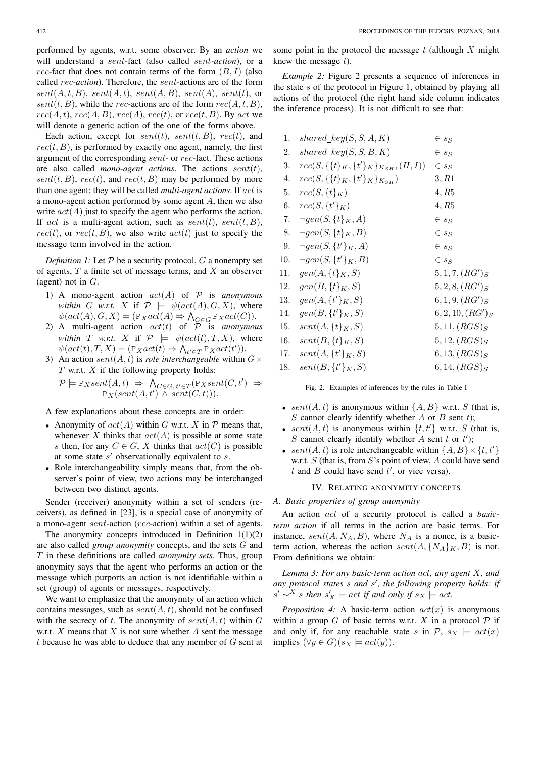performed by agents, w.r.t. some observer. By an *action* we will understand a sent-fact (also called sent*-action*), or a rec-fact that does not contain terms of the form  $(B, I)$  (also called rec*-action*). Therefore, the sent-actions are of the form  $sent(A, t, B)$ ,  $sent(A, t)$ ,  $sent(A, B)$ ,  $sent(A)$ ,  $sent(t)$ , or sent(t, B), while the rec-actions are of the form  $rec(A, t, B)$ ,  $rec(A, t), rec(A, B), rec(A), rec(t),$  or  $rec(t, B)$ . By act we will denote a generic action of the one of the forms above.

Each action, except for  $sent(t)$ ,  $sent(t, B)$ ,  $rec(t)$ , and  $rec(t, B)$ , is performed by exactly one agent, namely, the first argument of the corresponding sent- or rec-fact. These actions are also called *mono-agent actions*. The actions sent(t), sent(t, B),  $rec(t)$ , and  $rec(t, B)$  may be performed by more than one agent; they will be called *multi-agent actions*. If act is a mono-agent action performed by some agent A, then we also write  $act(A)$  just to specify the agent who performs the action. If act is a multi-agent action, such as  $sent(t, B)$ ,  $rec(t)$ , or  $rec(t, B)$ , we also write  $act(t)$  just to specify the message term involved in the action.

*Definition 1:* Let  $P$  be a security protocol,  $G$  a nonempty set of agents,  $T$  a finite set of message terms, and  $X$  an observer (agent) not in  $G$ .

- 1) A mono-agent action  $act(A)$  of  $P$  is *anonymous within* G *w.r.t.* X if  $P \models \psi(\text{act}(A), G, X)$ , where  $\psi(\text{act}(A), G, X) = (\mathbb{P}_X \text{act}(A) \Rightarrow \bigwedge_{C \in G} \mathbb{P}_X \text{act}(C)).$
- 2) A multi-agent action  $act(t)$  of  $\overline{P}$  is *anonymous within T w.r.t. X* if  $P \models \psi(\text{act}(t), T, X)$ , where  $\psi(\text{act}(t), T, X) = (\mathbb{P}_X \text{act}(t) \Rightarrow \bigwedge_{t' \in T} \mathbb{P}_X \text{act}(t')).$
- 3) An action  $sent(A, t)$  is *role interchangeable* within  $G \times$  $T$  w.r.t.  $X$  if the following property holds:

$$
\mathcal{P} \models \text{P}_{X}sent(A, t) \Rightarrow \bigwedge_{C \in G, t' \in T} (\text{P}_{X}sent(C, t') \Rightarrow \text{P}_{X} (sent(A, t') \land sent(C, t))).
$$

A few explanations about these concepts are in order:

- Anonymity of  $act(A)$  within G w.r.t. X in P means that, whenever X thinks that  $act(A)$  is possible at some state s then, for any  $C \in G$ , X thinks that  $act(C)$  is possible at some state  $s'$  observationally equivalent to  $s$ .
- Role interchangeability simply means that, from the observer's point of view, two actions may be interchanged between two distinct agents.

Sender (receiver) anonymity within a set of senders (receivers), as defined in [23], is a special case of anonymity of a mono-agent sent-action (rec-action) within a set of agents.

The anonymity concepts introduced in Definition  $1(1)(2)$ are also called *group anonymity* concepts, and the sets G and T in these definitions are called *anonymity sets*. Thus, group anonymity says that the agent who performs an action or the message which purports an action is not identifiable within a set (group) of agents or messages, respectively.

We want to emphasize that the anonymity of an action which contains messages, such as  $sent(A, t)$ , should not be confused with the secrecy of t. The anonymity of  $sent(A, t)$  within G w.r.t. X means that X is not sure whether A sent the message  $t$  because he was able to deduce that any member of  $G$  sent at

some point in the protocol the message  $t$  (although  $X$  might knew the message  $t$ ).

*Example 2:* Figure 2 presents a sequence of inferences in the state s of the protocol in Figure 1, obtained by playing all actions of the protocol (the right hand side column indicates the inference process). It is not difficult to see that:

| 1.  | $shared\_key(S, S, A, K)$                        | $\in s_S$            |
|-----|--------------------------------------------------|----------------------|
| 2.  | $shared\_key(S, S, B, K)$                        | $\in s_S$            |
| 3.  | $rec(S, \{\{t\}_K, \{t'\}_K\}_{K_{SH}}, (H, I))$ | $\in s_S$            |
| 4.  | $rec(S, \{\{t\}_K, \{t'\}_K\}_{K_{SH}})$         | 3, R1                |
| 5.  | $rec(S, \{t\}_K)$                                | 4, R5                |
| 6.  | $rec(S, \{t'\}_K)$                               | 4, R5                |
| 7.  | $\neg gen(S, \{t\}_K, A)$                        | $\in s_S$            |
| 8.  | $\neg gen(S, \{t\}_K, B)$                        | $\in s_S$            |
| 9.  | $\neg gen(S, \{t'\}_K, A)$                       | $\in s_S$            |
| 10. | $\neg gen(S, \{t'\}_K, B)$                       | $\in s_S$            |
| 11. | $gen(A, \{t\}_K, S)$                             | $5, 1, 7, (RG')_S$   |
| 12. | $gen(B, \{t\}_K, S)$                             | $5, 2, 8, (RG')_S$   |
| 13. | $gen(A, \{t'\}_K, S)$                            | $6, 1, 9, (RG')_S$   |
| 14. | $gen(B, \{t'\} _K, S)$                           | $(6, 2, 10, (RG')_S$ |
| 15. | $sent(A, \{t\}_K, S)$                            | $5, 11, (RGS)_{S}$   |
| 16. | $sent(B, \{t\}_K, S)$                            | $5, 12, (RGS)_{S}$   |
| 17. | $sent(A, \{t'\}_K, S)$                           | $6, 13, (RGS)_{S}$   |
| 18. | $sent(B, \{t'\}_K, S)$                           | $6, 14, (RGS)_S$     |

Fig. 2. Examples of inferences by the rules in Table I

- sent $(A, t)$  is anonymous within  $\{A, B\}$  w.r.t. S (that is,  $S$  cannot clearly identify whether  $A$  or  $B$  sent  $t$ );
- sent $(A, t)$  is anonymous within  $\{t, t'\}$  w.r.t. S (that is, S cannot clearly identify whether  $A$  sent  $t$  or  $t'$ );
- sent $(A, t)$  is role interchangeable within  $\{A, B\} \times \{t, t'\}$ w.r.t.  $S$  (that is, from  $S$ 's point of view,  $A$  could have send  $t$  and  $B$  could have send  $t'$ , or vice versa).

### IV. RELATING ANONYMITY CONCEPTS

#### *A. Basic properties of group anonymity*

An action act of a security protocol is called a *basicterm action* if all terms in the action are basic terms. For instance,  $sent(A, N_A, B)$ , where  $N_A$  is a nonce, is a basicterm action, whereas the action  $sent(A, \{N_A\}_K, B)$  is not. From definitions we obtain:

*Lemma 3: For any basic-term action* act*, any agent* X*, and any protocol states* s *and* s ′ *, the following property holds: if*  $s' \sim^X s$  *then*  $s'_X$   $\models$  *act if and only if*  $s_X \models act$ *.* 

*Proposition 4:* A basic-term action  $act(x)$  is anonymous within a group G of basic terms w.r.t. X in a protocol  $P$  if and only if, for any reachable state s in  $P$ ,  $s_X \models act(x)$ implies  $(\forall y \in G)(s_X \models act(y)).$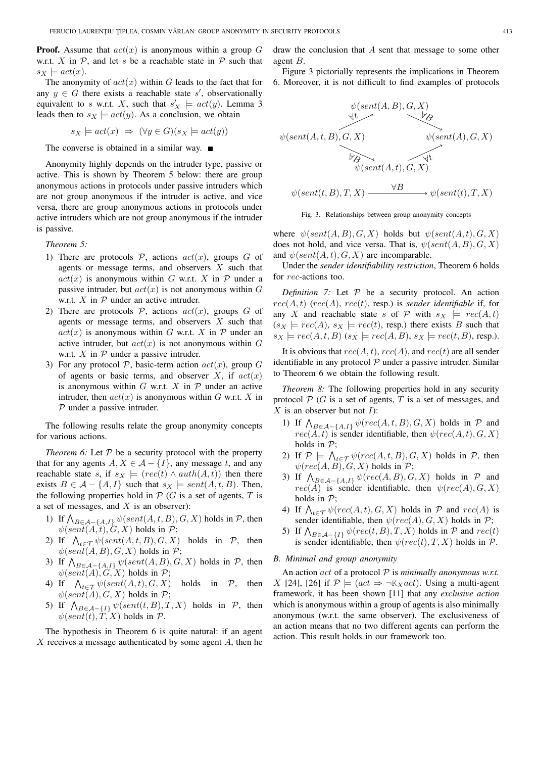**Proof.** Assume that  $act(x)$  is anonymous within a group G w.r.t. X in  $P$ , and let s be a reachable state in  $P$  such that  $s_X \models act(x).$ 

The anonymity of  $act(x)$  within G leads to the fact that for any  $y \in G$  there exists a reachable state s', observationally equivalent to s w.r.t. X, such that  $s'_X \models act(y)$ . Lemma 3 leads then to  $s_X \models act(y)$ . As a conclusion, we obtain

$$
s_X \models act(x) \Rightarrow (\forall y \in G)(s_X \models act(y))
$$

The converse is obtained in a similar way.

Anonymity highly depends on the intruder type, passive or active. This is shown by Theorem 5 below: there are group anonymous actions in protocols under passive intruders which are not group anonymous if the intruder is active, and vice versa, there are group anonymous actions in protocols under active intruders which are not group anonymous if the intruder is passive.

*Theorem 5:*

- 1) There are protocols  $P$ , actions  $act(x)$ , groups G of agents or message terms, and observers  $X$  such that  $act(x)$  is anonymous within G w.r.t. X in P under a passive intruder, but  $act(x)$  is not anonymous within G w.r.t.  $X$  in  $P$  under an active intruder.
- 2) There are protocols  $P$ , actions  $act(x)$ , groups G of agents or message terms, and observers  $X$  such that  $act(x)$  is anonymous within G w.r.t. X in P under an active intruder, but  $act(x)$  is not anonymous within G w.r.t.  $X$  in  $P$  under a passive intruder.
- 3) For any protocol  $P$ , basic-term action  $act(x)$ , group G of agents or basic terms, and observer X, if  $act(x)$ is anonymous within  $G$  w.r.t.  $X$  in  $P$  under an active intruder, then  $act(x)$  is anonymous within G w.r.t. X in  $P$  under a passive intruder.

The following results relate the group anonymity concepts for various actions.

*Theorem 6:* Let  $P$  be a security protocol with the property that for any agents  $A, X \in \mathcal{A} - \{I\}$ , any message t, and any reachable state s, if  $s_X \models (rec(t) \land \text{auth}(A, t))$  then there exists  $B \in \mathcal{A} - \{A, I\}$  such that  $s_X \models sent(A, t, B)$ . Then, the following properties hold in  $P(G)$  is a set of agents,  $T$  is a set of messages, and  $X$  is an observer):

- 1) If  $\bigwedge_{B \in \mathcal{A} \{A, I\}} \psi(\operatorname{sent}(A, t, B), G, X)$  holds in  $\mathcal{P}$ , then  $\psi(\text{sent}(A, t), G, X)$  holds in  $\mathcal{P}$ ;
- 2) If  $\bigwedge_{t \in \mathcal{T}} \psi(\text{sent}(A, t, B), G, X)$  holds in  $\mathcal{P}$ , then  $\psi(\text{sent}(A, B), G, X)$  holds in  $P$ ;
- 3) If  $\bigwedge_{B \in \mathcal{A} \{A, I\}} \psi(\operatorname{sent}(A, B), G, X)$  holds in  $\mathcal{P}$ , then  $\psi(\text{sent}(A), G, X)$  holds in  $P$ ;
- 4) If  $\bigwedge_{t \in \mathcal{T}} \psi(\operatorname{sent}(A, t), G, X)$  holds in  $\mathcal{P}$ , then  $\psi(\text{sent}(A), G, X)$  holds in  $P$ ;
- 5) If  $\bigwedge_{B \in \mathcal{A} \{I\}} \psi(\operatorname{sent}(t, B), T, X)$  holds in  $\mathcal{P}$ , then  $\psi(\text{sent}(t), \hat{T}, X)$  holds in  $\mathcal{P}$ .

The hypothesis in Theorem 6 is quite natural: if an agent  $X$  receives a message authenticated by some agent  $A$ , then he draw the conclusion that A sent that message to some other agent B.

Figure 3 pictorially represents the implications in Theorem 6. Moreover, it is not difficult to find examples of protocols

$$
\psi(\operatorname{sent}(A, B), G, X)
$$
\n
$$
\begin{array}{ccc}\n\psi(\operatorname{sent}(A, B), G, X) & \psi(\operatorname{sent}(A), G, X) \\
\downarrow \downarrow & \downarrow \downarrow \\
\psi(\operatorname{sent}(A, t), G, X) & \psi(\operatorname{sent}(A), G, X) \\
\downarrow & \downarrow \downarrow \\
\psi(\operatorname{sent}(t, B), T, X) \xrightarrow{\forall B} & \psi(\operatorname{sent}(t), T, X)\n\end{array}
$$

Fig. 3. Relationships between group anonymity concepts

where  $\psi(\text{sent}(A, B), G, X)$  holds but  $\psi(\text{sent}(A, t), G, X)$ does not hold, and vice versa. That is,  $\psi(\text{sent}(A, B), G, X)$ and  $\psi(\text{sent}(A, t), G, X)$  are incomparable.

Under the *sender identifiability restriction*, Theorem 6 holds for rec-actions too.

*Definition 7:* Let  $P$  be a security protocol. An action  $rec(A, t)$  ( $rec(A)$ ,  $rec(t)$ , resp.) is *sender identifiable* if, for any X and reachable state s of P with  $s_X = rec(A, t)$  $(s_X \models rec(A), s_X \models rec(t),$  resp.) there exists B such that  $s_X \models rec(A, t, B)$   $(s_X \models rec(A, B), s_X \models rec(t, B),$  resp.).

It is obvious that  $rec(A, t)$ ,  $rec(A)$ , and  $rec(t)$  are all sender identifiable in any protocol  $P$  under a passive intruder. Similar to Theorem 6 we obtain the following result.

*Theorem 8:* The following properties hold in any security protocol  $P(G)$  is a set of agents, T is a set of messages, and  $X$  is an observer but not  $I$ ):

- 1) If  $\bigwedge_{B \in \mathcal{A} \{A, I\}} \psi(rec(A, t, B), G, X)$  holds in  $\mathcal P$  and  $rec(A, t)$  is sender identifiable, then  $\psi(rec(A, t), G, X)$ holds in  $P$ :
- 2) If  $P \models \bigwedge_{t \in \mathcal{T}} \psi(rec(A, t, B), G, X)$  holds in  $P$ , then  $\psi(rec(A, B), G, X)$  holds in  $P$ ;
- 3) If  $\bigwedge_{B \in \mathcal{A} \{A, I\}} \psi(rec(A, B), G, X)$  holds in  $\mathcal P$  and  $rec(A)$  is sender identifiable, then  $\psi(rec(A), G, X)$ holds in P;
- 4) If  $\bigwedge_{t \in \mathcal{T}} \psi(rec(A, t), G, X)$  holds in  $\mathcal{P}$  and  $rec(A)$  is sender identifiable, then  $\psi(rec(A), G, X)$  holds in  $P$ ;
- 5) If  $\bigwedge_{B \in \mathcal{A} \{I\}} \psi(rec(t, B), T, X)$  holds in  $\mathcal{P}$  and  $rec(t)$ is sender identifiable, then  $\psi(rec(t), T, X)$  holds in  $\mathcal{P}$ .

# *B. Minimal and group anonymity*

An action *act* of a protocol  $P$  is *minimally anonymous w.r.t.* X [24], [26] if  $\mathcal{P} \models (act \Rightarrow \neg K_X act)$ . Using a multi-agent framework, it has been shown [11] that any *exclusive action* which is anonymous within a group of agents is also minimally anonymous (w.r.t. the same observer). The exclusiveness of an action means that no two different agents can perform the action. This result holds in our framework too.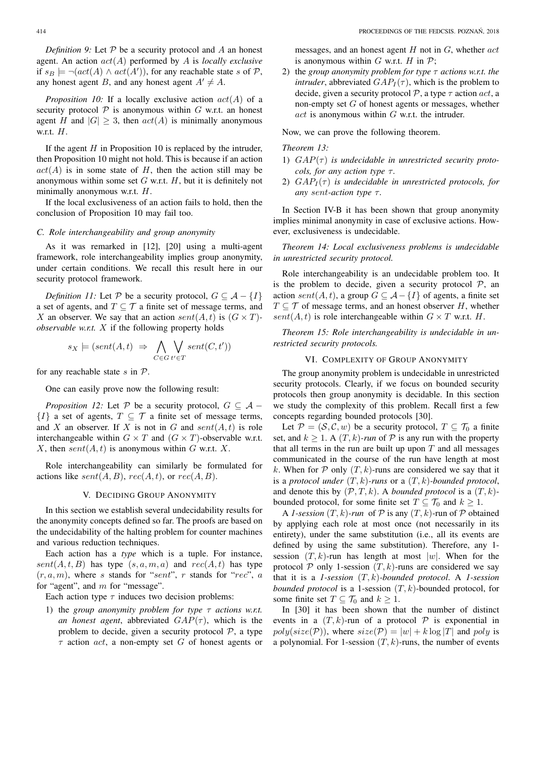*Definition 9:* Let  $P$  be a security protocol and A an honest agent. An action act(A) performed by A is *locally exclusive* if  $s_B \models \neg (act(A) \land act(A'))$ , for any reachable state s of P, any honest agent B, and any honest agent  $A' \neq A$ .

*Proposition 10:* If a locally exclusive action  $act(A)$  of a security protocol  $P$  is anonymous within  $G$  w.r.t. an honest agent H and  $|G| > 3$ , then  $act(A)$  is minimally anonymous w.r.t. H.

If the agent  $H$  in Proposition 10 is replaced by the intruder, then Proposition 10 might not hold. This is because if an action  $act(A)$  is in some state of H, then the action still may be anonymous within some set  $G$  w.r.t.  $H$ , but it is definitely not minimally anonymous w.r.t. H.

If the local exclusiveness of an action fails to hold, then the conclusion of Proposition 10 may fail too.

### *C. Role interchangeability and group anonymity*

As it was remarked in [12], [20] using a multi-agent framework, role interchangeability implies group anonymity, under certain conditions. We recall this result here in our security protocol framework.

*Definition 11:* Let P be a security protocol,  $G \subseteq \mathcal{A} - \{I\}$ a set of agents, and  $T \subseteq \mathcal{T}$  a finite set of message terms, and X an observer. We say that an action  $sent(A, t)$  is  $(G \times T)$ *observable w.r.t.* X if the following property holds

$$
s_X \models (sent(A, t) \Rightarrow \bigwedge_{C \in G} \bigvee_{t' \in T} sent(C, t'))
$$

for any reachable state s in  $\mathcal{P}$ .

One can easily prove now the following result:

*Proposition 12:* Let P be a security protocol,  $G \subseteq A \{I\}$  a set of agents,  $T \subset \mathcal{T}$  a finite set of message terms, and X an observer. If X is not in G and  $sent(A, t)$  is role interchangeable within  $G \times T$  and  $(G \times T)$ -observable w.r.t. X, then  $sent(A, t)$  is anonymous within G w.r.t. X.

Role interchangeability can similarly be formulated for actions like  $sent(A, B)$ ,  $rec(A, t)$ , or  $rec(A, B)$ .

### V. DECIDING GROUP ANONYMITY

In this section we establish several undecidability results for the anonymity concepts defined so far. The proofs are based on the undecidability of the halting problem for counter machines and various reduction techniques.

Each action has a *type* which is a tuple. For instance,  $sent(A, t, B)$  has type  $(s, a, m, a)$  and  $rec(A, t)$  has type  $(r, a, m)$ , where s stands for "sent", r stands for "rec", a for "agent", and  $m$  for "message".

Each action type  $\tau$  induces two decision problems:

1) the *group anonymity problem for type* τ *actions w.r.t. an honest agent*, abbreviated  $GAP(\tau)$ , which is the problem to decide, given a security protocol  $P$ , a type  $\tau$  action *act*, a non-empty set G of honest agents or messages, and an honest agent  $H$  not in  $G$ , whether  $act$ is anonymous within G w.r.t. H in  $\mathcal{P}$ ;

2) the *group anonymity problem for type* τ *actions w.r.t. the intruder*, abbreviated  $GAP<sub>I</sub>(\tau)$ , which is the problem to decide, given a security protocol  $P$ , a type  $\tau$  action act, a non-empty set  $G$  of honest agents or messages, whether  $act$  is anonymous within  $G$  w.r.t. the intruder.

Now, we can prove the following theorem.

#### *Theorem 13:*

- 1)  $GAP(\tau)$  is undecidable in unrestricted security proto*cols, for any action type* τ.
- 2)  $GAP<sub>I</sub>(\tau)$  *is undecidable in unrestricted protocols, for any* sent*-action type* τ *.*

In Section IV-B it has been shown that group anonymity implies minimal anonymity in case of exclusive actions. However, exclusiveness is undecidable.

*Theorem 14: Local exclusiveness problems is undecidable in unrestricted security protocol.*

Role interchangeability is an undecidable problem too. It is the problem to decide, given a security protocol  $P$ , an action sent(A, t), a group  $G \subseteq \mathcal{A} - \{I\}$  of agents, a finite set  $T \subseteq \mathcal{T}$  of message terms, and an honest observer H, whether sent(A, t) is role interchangeable within  $G \times T$  w.r.t. H.

*Theorem 15: Role interchangeability is undecidable in unrestricted security protocols.*

#### VI. COMPLEXITY OF GROUP ANONYMITY

The group anonymity problem is undecidable in unrestricted security protocols. Clearly, if we focus on bounded security protocols then group anonymity is decidable. In this section we study the complexity of this problem. Recall first a few concepts regarding bounded protocols [30].

Let  $\mathcal{P} = (\mathcal{S}, \mathcal{C}, w)$  be a security protocol,  $T \subseteq \mathcal{T}_0$  a finite set, and  $k \geq 1$ . A  $(T, k)$ -run of P is any run with the property that all terms in the run are built up upon  $T$  and all messages communicated in the course of the run have length at most k. When for  $P$  only  $(T, k)$ -runs are considered we say that it is a *protocol under*  $(T, k)$ -runs or a  $(T, k)$ -bounded protocol, and denote this by  $(\mathcal{P}, T, k)$ . A *bounded protocol* is a  $(T, k)$ bounded protocol, for some finite set  $T \subseteq \mathcal{T}_0$  and  $k \geq 1$ .

A *1-session*  $(T, k)$ -run of  $P$  is any  $(T, k)$ -run of  $P$  obtained by applying each role at most once (not necessarily in its entirety), under the same substitution (i.e., all its events are defined by using the same substitution). Therefore, any 1 session  $(T, k)$ -run has length at most |w|. When for the protocol  $P$  only 1-session  $(T, k)$ -runs are considered we say that it is a *1-session* (T, k)*-bounded protocol*. A *1-session bounded protocol* is a 1-session  $(T, k)$ -bounded protocol, for some finite set  $T \subseteq \mathcal{T}_0$  and  $k \geq 1$ .

In [30] it has been shown that the number of distinct events in a  $(T, k)$ -run of a protocol  $P$  is exponential in  $poly(size(\mathcal{P}))$ , where  $size(\mathcal{P}) = |w| + k \log |T|$  and poly is a polynomial. For 1-session  $(T, k)$ -runs, the number of events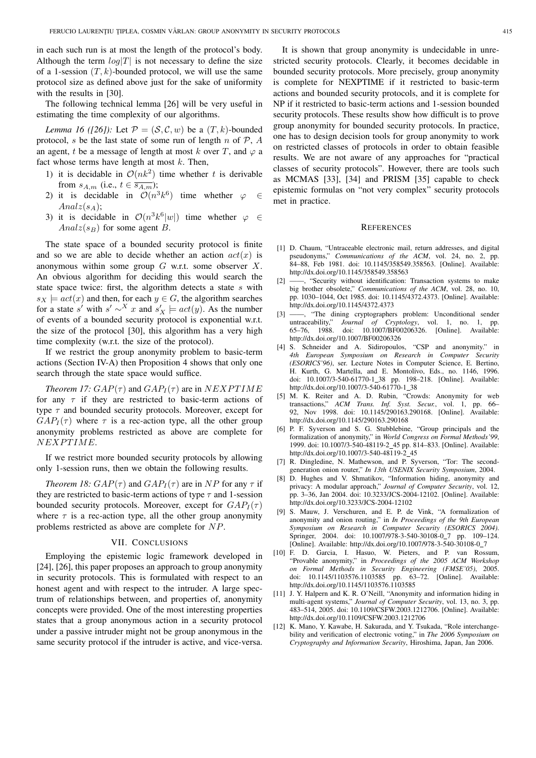in each such run is at most the length of the protocol's body. Although the term  $log|T|$  is not necessary to define the size of a 1-session  $(T, k)$ -bounded protocol, we will use the same protocol size as defined above just for the sake of uniformity with the results in [30].

The following technical lemma [26] will be very useful in estimating the time complexity of our algorithms.

*Lemma 16 ([26]):* Let  $P = (\mathcal{S}, \mathcal{C}, w)$  be a  $(T, k)$ -bounded protocol, s be the last state of some run of length n of  $P$ , A an agent, t be a message of length at most k over T, and  $\varphi$  a fact whose terms have length at most  $k$ . Then,

- 1) it is decidable in  $O(nk^2)$  time whether t is derivable from  $s_{A,m}$  (i.e.,  $t \in \overline{s_{A,m}}$ );
- 2) it is decidable in  $\mathcal{O}(n^3 k^6)$  time whether  $\varphi \in$  $Analz(s_A);$
- 3) it is decidable in  $\mathcal{O}(n^3k^6|w|)$  time whether  $\varphi \in$  $Analz(s_B)$  for some agent B.

The state space of a bounded security protocol is finite and so we are able to decide whether an action  $act(x)$  is anonymous within some group  $G$  w.r.t. some observer  $X$ . An obvious algorithm for deciding this would search the state space twice: first, the algorithm detects a state s with  $s_X \models act(x)$  and then, for each  $y \in G$ , the algorithm searches for a state s' with  $s' \sim^X x$  and  $s'_X \models act(y)$ . As the number of events of a bounded security protocol is exponential w.r.t. the size of the protocol [30], this algorithm has a very high time complexity (w.r.t. the size of the protocol).

If we restrict the group anonymity problem to basic-term actions (Section IV-A) then Proposition 4 shows that only one search through the state space would suffice.

*Theorem 17:*  $GAP(\tau)$  and  $GAP_{I}(\tau)$  are in  $NEXPTIME$ for any  $\tau$  if they are restricted to basic-term actions of type  $\tau$  and bounded security protocols. Moreover, except for  $GAP<sub>I</sub>(\tau)$  where  $\tau$  is a rec-action type, all the other group anonymity problems restricted as above are complete for NEXPTIME.

If we restrict more bounded security protocols by allowing only 1-session runs, then we obtain the following results.

*Theorem 18:*  $GAP(\tau)$  and  $GAP_I(\tau)$  are in NP for any  $\tau$  if they are restricted to basic-term actions of type  $\tau$  and 1-session bounded security protocols. Moreover, except for  $GAP_I(\tau)$ where  $\tau$  is a rec-action type, all the other group anonymity problems restricted as above are complete for NP.

#### VII. CONCLUSIONS

Employing the epistemic logic framework developed in [24], [26], this paper proposes an approach to group anonymity in security protocols. This is formulated with respect to an honest agent and with respect to the intruder. A large spectrum of relationships between, and properties of, anonymity concepts were provided. One of the most interesting properties states that a group anonymous action in a security protocol under a passive intruder might not be group anonymous in the same security protocol if the intruder is active, and vice-versa.

It is shown that group anonymity is undecidable in unrestricted security protocols. Clearly, it becomes decidable in bounded security protocols. More precisely, group anonymity is complete for NEXPTIME if it restricted to basic-term actions and bounded security protocols, and it is complete for NP if it restricted to basic-term actions and 1-session bounded security protocols. These results show how difficult is to prove group anonymity for bounded security protocols. In practice, one has to design decision tools for group anonymity to work on restricted classes of protocols in order to obtain feasible results. We are not aware of any approaches for "practical classes of security protocols". However, there are tools such as MCMAS [33], [34] and PRISM [35] capable to check epistemic formulas on "not very complex" security protocols met in practice.

#### **REFERENCES**

- [1] D. Chaum, "Untraceable electronic mail, return addresses, and digital pseudonyms," *Communications of the ACM*, vol. 24, no. 2, pp. 84–88, Feb 1981. doi: 10.1145/358549.358563. [Online]. Available: http://dx.doi.org/10.1145/358549.358563
- [2] ——, "Security without identification: Transaction systems to make big brother obsolete," *Communications of the ACM*, vol. 28, no. 10, pp. 1030–1044, Oct 1985. doi: 10.1145/4372.4373. [Online]. Available: http://dx.doi.org/10.1145/4372.4373
- [3] ——, "The dining cryptographers problem: Unconditional sender untraceability," *Journal of Cryptology*, vol. 1, no. 1, pp. doi: 10.1007/BF00206326. [Online]. Available: http://dx.doi.org/10.1007/BF00206326
- [4] S. Schneider and A. Sidiropoulos, "CSP and anonymity." in *4th European Symposium on Research in Computer Security (ESORICS'96)*, ser. Lecture Notes in Computer Science, E. Bertino, H. Kurth, G. Martella, and E. Montolivo, Eds., no. 1146, 1996. doi: 10.1007/3-540-61770-1 38 pp. 198–218. [Online]. Available: http://dx.doi.org/10.1007/3-540-61770-1\_38
- [5] M. K. Reiter and A. D. Rubin, "Crowds: Anonymity for web transactions," *ACM Trans. Inf. Syst. Secur.*, vol. 1, pp. 66– 92, Nov 1998. doi: 10.1145/290163.290168. [Online]. Available: http://dx.doi.org/10.1145/290163.290168
- [6] P. F. Syverson and S. G. Stubblebine, "Group principals and the formalization of anonymity," in *World Congress on Formal Methods'99*, 1999. doi: 10.1007/3-540-48119-2 45 pp. 814–833. [Online]. Available: http://dx.doi.org/10.1007/3-540-48119-2\_45
- [7] R. Dingledine, N. Mathewson, and P. Syverson, "Tor: The secondgeneration onion router," *In 13th USENIX Security Symposium*, 2004.
- [8] D. Hughes and V. Shmatikov, "Information hiding, anonymity and privacy: A modular approach," *Journal of Computer Security*, vol. 12, pp. 3–36, Jan 2004. doi: 10.3233/JCS-2004-12102. [Online]. Available: http://dx.doi.org/10.3233/JCS-2004-12102
- [9] S. Mauw, J. Verschuren, and E. P. de Vink, "A formalization of anonymity and onion routing," in *In Proceedings of the 9th European Symposium on Research in Computer Security (ESORICS 2004)*. Springer, 2004. doi: 10.1007/978-3-540-30108-0\_7 pp. 109-124. [Online]. Available: http://dx.doi.org/10.1007/978-3-540-30108-0\_7
- [10] F. D. Garcia, I. Hasuo, W. Pieters, and P. van Rossum, "Provable anonymity," in *Proceedings of the 2005 ACM Workshop on Formal Methods in Security Engineering (FMSE'05)*, 2005. doi: 10.1145/1103576.1103585 pp. 63–72. [Online]. Available: http://dx.doi.org/10.1145/1103576.1103585
- [11] J. Y. Halpern and K. R. O'Neill, "Anonymity and information hiding in multi-agent systems," *Journal of Computer Security*, vol. 13, no. 3, pp. 483–514, 2005. doi: 10.1109/CSFW.2003.1212706. [Online]. Available: http://dx.doi.org/10.1109/CSFW.2003.1212706
- [12] K. Mano, Y. Kawabe, H. Sakurada, and Y. Tsukada, "Role interchangebility and verification of electronic voting," in *The 2006 Symposium on Cryptography and Information Security*, Hiroshima, Japan, Jan 2006.